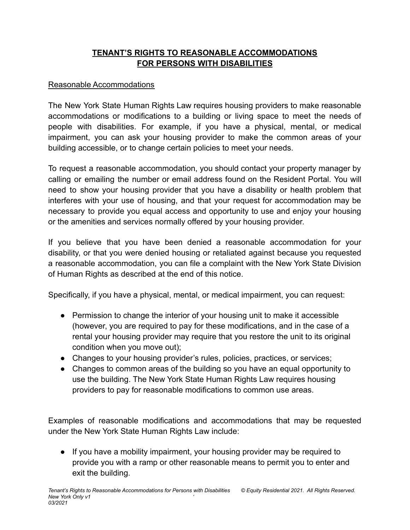## **TENANT'S RIGHTS TO REASONABLE ACCOMMODATIONS FOR PERSONS WITH DISABILITIES**

## Reasonable Accommodations

The New York State Human Rights Law requires housing providers to make reasonable accommodations or modifications to a building or living space to meet the needs of people with disabilities. For example, if you have a physical, mental, or medical impairment, you can ask your housing provider to make the common areas of your building accessible, or to change certain policies to meet your needs.

To request a reasonable accommodation, you should contact your property manager by calling or emailing the number or email address found on the Resident Portal. You will need to show your housing provider that you have a disability or health problem that interferes with your use of housing, and that your request for accommodation may be necessary to provide you equal access and opportunity to use and enjoy your housing or the amenities and services normally offered by your housing provider.

If you believe that you have been denied a reasonable accommodation for your disability, or that you were denied housing or retaliated against because you requested a reasonable accommodation, you can file a complaint with the New York State Division of Human Rights as described at the end of this notice.

Specifically, if you have a physical, mental, or medical impairment, you can request:

- Permission to change the interior of your housing unit to make it accessible (however, you are required to pay for these modifications, and in the case of a rental your housing provider may require that you restore the unit to its original condition when you move out);
- Changes to your housing provider's rules, policies, practices, or services;
- Changes to common areas of the building so you have an equal opportunity to use the building. The New York State Human Rights Law requires housing providers to pay for reasonable modifications to common use areas.

Examples of reasonable modifications and accommodations that may be requested under the New York State Human Rights Law include:

● If you have a mobility impairment, your housing provider may be required to provide you with a ramp or other reasonable means to permit you to enter and exit the building.